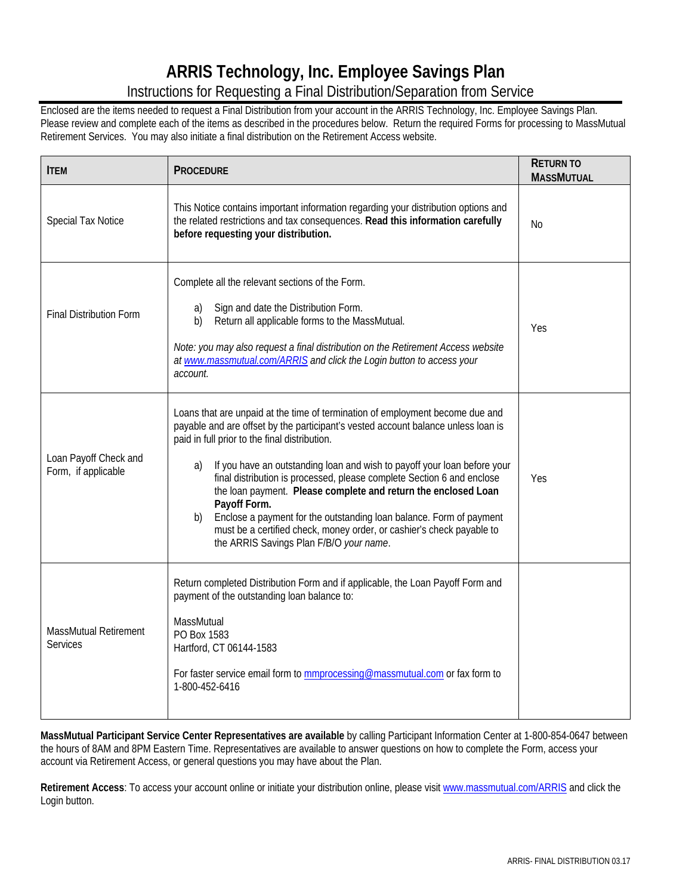# **ARRIS Technology, Inc. Employee Savings Plan**

# Instructions for Requesting a Final Distribution/Separation from Service

Enclosed are the items needed to request a Final Distribution from your account in the ARRIS Technology, Inc. Employee Savings Plan. Please review and complete each of the items as described in the procedures below. Return the required Forms for processing to MassMutual Retirement Services. You may also initiate a final distribution on the Retirement Access website.

| <b>ITEM</b>                                  | <b>PROCEDURE</b>                                                                                                                                                                                                                                                                                                                                                                                                                                                                                                                                                                                                                                                   | <b>RETURN TO</b><br><b>MASSMUTUAL</b> |
|----------------------------------------------|--------------------------------------------------------------------------------------------------------------------------------------------------------------------------------------------------------------------------------------------------------------------------------------------------------------------------------------------------------------------------------------------------------------------------------------------------------------------------------------------------------------------------------------------------------------------------------------------------------------------------------------------------------------------|---------------------------------------|
| Special Tax Notice                           | This Notice contains important information regarding your distribution options and<br>the related restrictions and tax consequences. Read this information carefully<br>before requesting your distribution.                                                                                                                                                                                                                                                                                                                                                                                                                                                       | No                                    |
| <b>Final Distribution Form</b>               | Complete all the relevant sections of the Form.<br>Sign and date the Distribution Form.<br>a)<br>Return all applicable forms to the MassMutual.<br>b)<br>Note: you may also request a final distribution on the Retirement Access website<br>at www.massmutual.com/ARRIS and click the Login button to access your<br>account.                                                                                                                                                                                                                                                                                                                                     | Yes                                   |
| Loan Payoff Check and<br>Form, if applicable | Loans that are unpaid at the time of termination of employment become due and<br>payable and are offset by the participant's vested account balance unless loan is<br>paid in full prior to the final distribution.<br>If you have an outstanding loan and wish to payoff your loan before your<br>a)<br>final distribution is processed, please complete Section 6 and enclose<br>the loan payment. Please complete and return the enclosed Loan<br>Payoff Form.<br>Enclose a payment for the outstanding loan balance. Form of payment<br>b)<br>must be a certified check, money order, or cashier's check payable to<br>the ARRIS Savings Plan F/B/O your name. | Yes                                   |
| MassMutual Retirement<br><b>Services</b>     | Return completed Distribution Form and if applicable, the Loan Payoff Form and<br>payment of the outstanding loan balance to:<br>MassMutual<br>PO Box 1583<br>Hartford, CT 06144-1583<br>For faster service email form to <b>mmprocessing@massmutual.com</b> or fax form to<br>1-800-452-6416                                                                                                                                                                                                                                                                                                                                                                      |                                       |

**MassMutual Participant Service Center Representatives are available** by calling Participant Information Center at 1-800-854-0647 between the hours of 8AM and 8PM Eastern Time. Representatives are available to answer questions on how to complete the Form, access your account via Retirement Access, or general questions you may have about the Plan.

**Retirement Access**: To access your account online or initiate your distribution online, please visit www.massmutual.com/ARRIS and click the Login button.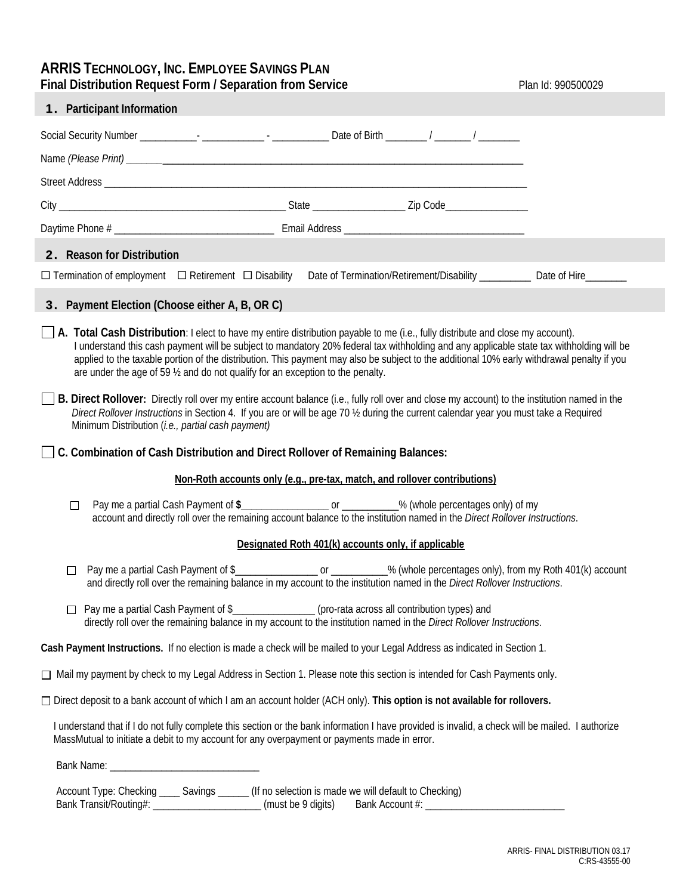## **ARRIS TECHNOLOGY, INC. EMPLOYEE SAVINGS PLAN Final Distribution Request Form / Separation from Service <b>Plan Id: 990500029** Plan Id: 990500029

| <b>1.</b> Participant Information                                                                                                                                                                                                                                                                                                                                                                                                                                                                                   |                                                                                                                                                                                                                                      |  |                                                     |  |  |                                                                                                                              |
|---------------------------------------------------------------------------------------------------------------------------------------------------------------------------------------------------------------------------------------------------------------------------------------------------------------------------------------------------------------------------------------------------------------------------------------------------------------------------------------------------------------------|--------------------------------------------------------------------------------------------------------------------------------------------------------------------------------------------------------------------------------------|--|-----------------------------------------------------|--|--|------------------------------------------------------------------------------------------------------------------------------|
|                                                                                                                                                                                                                                                                                                                                                                                                                                                                                                                     |                                                                                                                                                                                                                                      |  |                                                     |  |  |                                                                                                                              |
|                                                                                                                                                                                                                                                                                                                                                                                                                                                                                                                     |                                                                                                                                                                                                                                      |  |                                                     |  |  |                                                                                                                              |
|                                                                                                                                                                                                                                                                                                                                                                                                                                                                                                                     |                                                                                                                                                                                                                                      |  |                                                     |  |  |                                                                                                                              |
|                                                                                                                                                                                                                                                                                                                                                                                                                                                                                                                     |                                                                                                                                                                                                                                      |  |                                                     |  |  |                                                                                                                              |
|                                                                                                                                                                                                                                                                                                                                                                                                                                                                                                                     |                                                                                                                                                                                                                                      |  |                                                     |  |  |                                                                                                                              |
| 2. Reason for Distribution                                                                                                                                                                                                                                                                                                                                                                                                                                                                                          |                                                                                                                                                                                                                                      |  |                                                     |  |  |                                                                                                                              |
| $\Box$ Termination of employment $\Box$ Retirement $\Box$ Disability                                                                                                                                                                                                                                                                                                                                                                                                                                                |                                                                                                                                                                                                                                      |  |                                                     |  |  | Date of Termination/Retirement/Disability ______________ Date of Hire__________                                              |
| <b>3.</b> Payment Election (Choose either A, B, OR C)                                                                                                                                                                                                                                                                                                                                                                                                                                                               |                                                                                                                                                                                                                                      |  |                                                     |  |  |                                                                                                                              |
| $\Box$ A. Total Cash Distribution: I elect to have my entire distribution payable to me (i.e., fully distribute and close my account).<br>I understand this cash payment will be subject to mandatory 20% federal tax withholding and any applicable state tax withholding will be<br>applied to the taxable portion of the distribution. This payment may also be subject to the additional 10% early withdrawal penalty if you<br>are under the age of 59 1/2 and do not qualify for an exception to the penalty. |                                                                                                                                                                                                                                      |  |                                                     |  |  |                                                                                                                              |
| B. Direct Rollover: Directly roll over my entire account balance (i.e., fully roll over and close my account) to the institution named in the<br>Direct Rollover Instructions in Section 4. If you are or will be age 70 1/2 during the current calendar year you must take a Required<br>Minimum Distribution (i.e., partial cash payment)                                                                                                                                                                         |                                                                                                                                                                                                                                      |  |                                                     |  |  |                                                                                                                              |
| C. Combination of Cash Distribution and Direct Rollover of Remaining Balances:                                                                                                                                                                                                                                                                                                                                                                                                                                      |                                                                                                                                                                                                                                      |  |                                                     |  |  |                                                                                                                              |
|                                                                                                                                                                                                                                                                                                                                                                                                                                                                                                                     | Non-Roth accounts only (e.g., pre-tax, match, and rollover contributions)                                                                                                                                                            |  |                                                     |  |  |                                                                                                                              |
| □                                                                                                                                                                                                                                                                                                                                                                                                                                                                                                                   | Pay me a partial Cash Payment of \$_____________________ or __________% (whole percentages only) of my<br>account and directly roll over the remaining account balance to the institution named in the Direct Rollover Instructions. |  |                                                     |  |  |                                                                                                                              |
|                                                                                                                                                                                                                                                                                                                                                                                                                                                                                                                     |                                                                                                                                                                                                                                      |  | Designated Roth 401(k) accounts only, if applicable |  |  |                                                                                                                              |
| П                                                                                                                                                                                                                                                                                                                                                                                                                                                                                                                   | and directly roll over the remaining balance in my account to the institution named in the Direct Rollover Instructions.                                                                                                             |  |                                                     |  |  | Pay me a partial Cash Payment of \$____________________ or __________% (whole percentages only), from my Roth 401(k) account |
| □ Pay me a partial Cash Payment of \$<br>______________(pro-rata across all contribution types) and<br>directly roll over the remaining balance in my account to the institution named in the Direct Rollover Instructions.                                                                                                                                                                                                                                                                                         |                                                                                                                                                                                                                                      |  |                                                     |  |  |                                                                                                                              |
| Cash Payment Instructions. If no election is made a check will be mailed to your Legal Address as indicated in Section 1.                                                                                                                                                                                                                                                                                                                                                                                           |                                                                                                                                                                                                                                      |  |                                                     |  |  |                                                                                                                              |
| □ Mail my payment by check to my Legal Address in Section 1. Please note this section is intended for Cash Payments only.                                                                                                                                                                                                                                                                                                                                                                                           |                                                                                                                                                                                                                                      |  |                                                     |  |  |                                                                                                                              |
| □ Direct deposit to a bank account of which I am an account holder (ACH only). This option is not available for rollovers.                                                                                                                                                                                                                                                                                                                                                                                          |                                                                                                                                                                                                                                      |  |                                                     |  |  |                                                                                                                              |
| I understand that if I do not fully complete this section or the bank information I have provided is invalid, a check will be mailed. I authorize<br>MassMutual to initiate a debit to my account for any overpayment or payments made in error.                                                                                                                                                                                                                                                                    |                                                                                                                                                                                                                                      |  |                                                     |  |  |                                                                                                                              |
|                                                                                                                                                                                                                                                                                                                                                                                                                                                                                                                     |                                                                                                                                                                                                                                      |  |                                                     |  |  |                                                                                                                              |
|                                                                                                                                                                                                                                                                                                                                                                                                                                                                                                                     |                                                                                                                                                                                                                                      |  |                                                     |  |  |                                                                                                                              |

 Account Type: Checking \_\_\_\_ Savings \_\_\_\_\_\_ (If no selection is made we will default to Checking) Bank Transit/Routing#: \_\_\_\_\_\_\_\_\_\_\_\_\_\_\_\_\_\_\_\_\_\_\_\_(must be 9 digits) Bank Account #: \_\_\_\_\_\_\_\_\_\_\_\_\_\_\_\_\_\_\_\_\_\_\_\_\_\_\_\_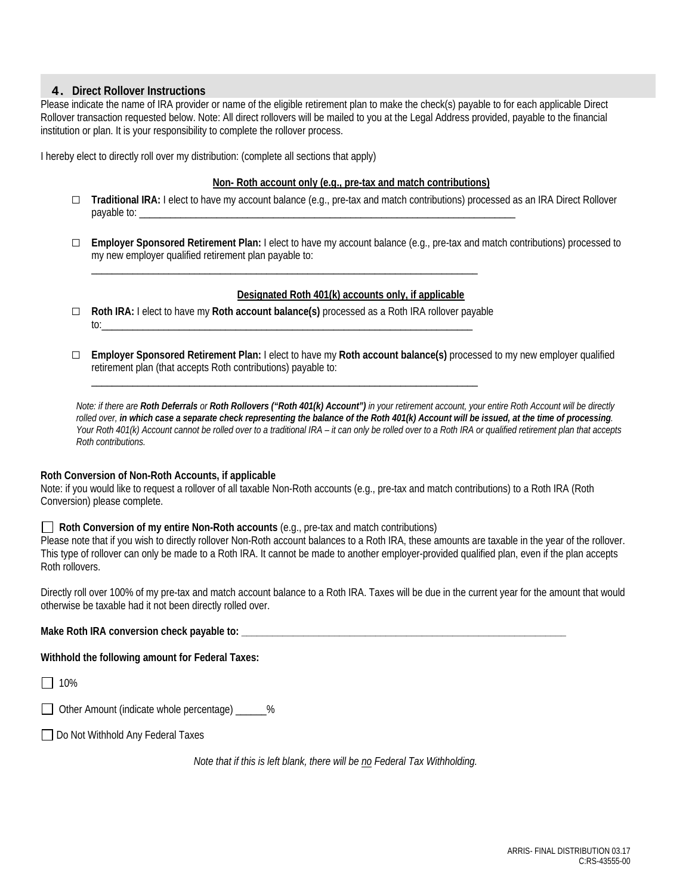## 4. **Direct Rollover Instructions**

Please indicate the name of IRA provider or name of the eligible retirement plan to make the check(s) payable to for each applicable Direct Rollover transaction requested below. Note: All direct rollovers will be mailed to you at the Legal Address provided, payable to the financial institution or plan. It is your responsibility to complete the rollover process.

I hereby elect to directly roll over my distribution: (complete all sections that apply)

## **Non- Roth account only (e.g., pre-tax and match contributions)**

- □ **Traditional IRA:** I elect to have my account balance (e.g., pre-tax and match contributions) processed as an IRA Direct Rollover payable to:
- □ **Employer Sponsored Retirement Plan:** I elect to have my account balance (e.g., pre-tax and match contributions) processed to my new employer qualified retirement plan payable to:

## **Designated Roth 401(k) accounts only, if applicable**

□ **Roth IRA:** I elect to have my **Roth account balance(s)** processed as a Roth IRA rollover payable to:\_\_\_\_\_\_\_\_\_\_\_\_\_\_\_\_\_\_\_\_\_\_\_\_\_\_\_\_\_\_\_\_\_\_\_\_\_\_\_\_\_\_\_\_\_\_\_\_\_\_\_\_\_\_\_\_\_\_\_\_\_\_\_\_\_\_\_\_\_\_\_\_

\_\_\_\_\_\_\_\_\_\_\_\_\_\_\_\_\_\_\_\_\_\_\_\_\_\_\_\_\_\_\_\_\_\_\_\_\_\_\_\_\_\_\_\_\_\_\_\_\_\_\_\_\_\_\_\_\_\_\_\_\_\_\_\_\_\_\_\_\_\_\_\_\_\_\_

\_\_\_\_\_\_\_\_\_\_\_\_\_\_\_\_\_\_\_\_\_\_\_\_\_\_\_\_\_\_\_\_\_\_\_\_\_\_\_\_\_\_\_\_\_\_\_\_\_\_\_\_\_\_\_\_\_\_\_\_\_\_\_\_\_\_\_\_\_\_\_\_\_\_\_

□ **Employer Sponsored Retirement Plan:** I elect to have my **Roth account balance(s)** processed to my new employer qualified retirement plan (that accepts Roth contributions) payable to:

*Note: if there are Roth Deferrals or Roth Rollovers ("Roth 401(k) Account") in your retirement account, your entire Roth Account will be directly rolled over, in which case a separate check representing the balance of the Roth 401(k) Account will be issued, at the time of processing. Your Roth 401(k) Account cannot be rolled over to a traditional IRA – it can only be rolled over to a Roth IRA or qualified retirement plan that accepts Roth contributions.* 

## **Roth Conversion of Non-Roth Accounts, if applicable**

Note: if you would like to request a rollover of all taxable Non-Roth accounts (e.g., pre-tax and match contributions) to a Roth IRA (Roth Conversion) please complete.

## **Roth Conversion of my entire Non-Roth accounts** (e.g., pre-tax and match contributions)

Please note that if you wish to directly rollover Non-Roth account balances to a Roth IRA, these amounts are taxable in the year of the rollover. This type of rollover can only be made to a Roth IRA. It cannot be made to another employer-provided qualified plan, even if the plan accepts Roth rollovers.

Directly roll over 100% of my pre-tax and match account balance to a Roth IRA. Taxes will be due in the current year for the amount that would otherwise be taxable had it not been directly rolled over.

**Make Roth IRA conversion check payable to: \_\_\_\_\_\_\_\_\_\_\_\_\_\_\_\_\_\_\_\_\_\_\_\_\_\_\_\_\_\_\_\_\_\_\_\_\_\_\_\_\_\_\_\_\_\_\_\_\_\_\_\_\_\_\_\_\_\_\_\_\_\_\_** 

**Withhold the following amount for Federal Taxes:** 

 $\Box$  10%

|  |  | □ Other Amount (indicate whole percentage) |  |  |
|--|--|--------------------------------------------|--|--|
|--|--|--------------------------------------------|--|--|

□ Do Not Withhold Any Federal Taxes

*Note that if this is left blank, there will be no Federal Tax Withholding.*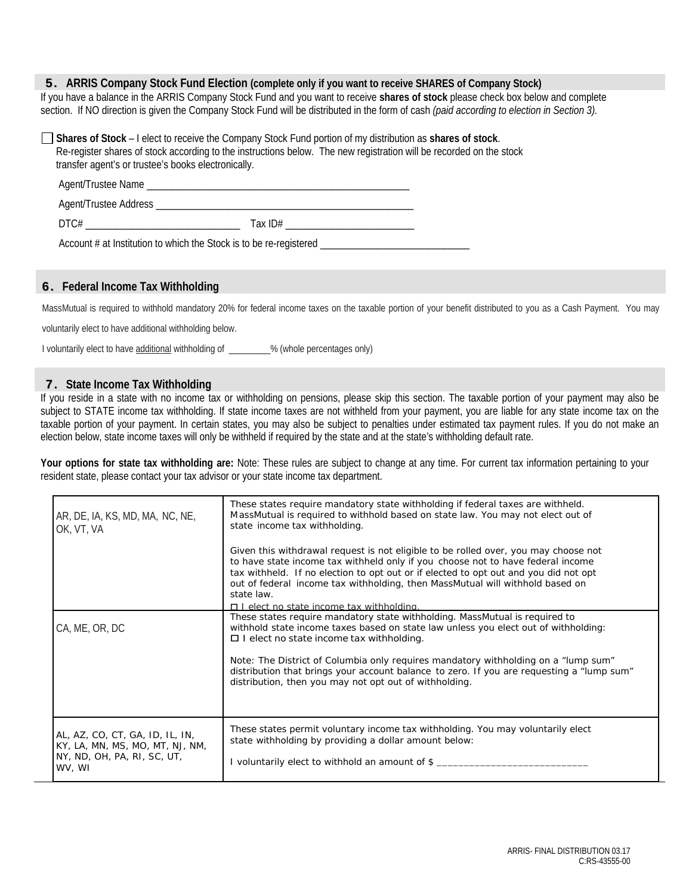## 5. **ARRIS Company Stock Fund Election (complete only if you want to receive SHARES of Company Stock)**

If you have a balance in the ARRIS Company Stock Fund and you want to receive **shares of stock** please check box below and complete section. If NO direction is given the Company Stock Fund will be distributed in the form of cash *(paid according to election in Section 3).*

**Shares of Stock** – I elect to receive the Company Stock Fund portion of my distribution as **shares of stock**. Re-register shares of stock according to the instructions below. The new registration will be recorded on the stock transfer agent's or trustee's books electronically.

| Agent/Trustee Name    |           |
|-----------------------|-----------|
| Agent/Trustee Address |           |
| DTC#                  | Tax $ID#$ |

## Account # at Institution to which the Stock is to be re-registered

## 6. **Federal Income Tax Withholding**

MassMutual is required to withhold mandatory 20% for federal income taxes on the taxable portion of your benefit distributed to you as a Cash Payment. You may

voluntarily elect to have additional withholding below.

I voluntarily elect to have additional withholding of \_\_\_\_\_\_\_\_% (whole percentages only)

### 7. **State Income Tax Withholding**

If you reside in a state with no income tax or withholding on pensions, please skip this section. The taxable portion of your payment may also be subject to STATE income tax withholding. If state income taxes are not withheld from your payment, you are liable for any state income tax on the taxable portion of your payment. In certain states, you may also be subject to penalties under estimated tax payment rules. If you do not make an election below, state income taxes will only be withheld if required by the state and at the state's withholding default rate.

**Your options for state tax withholding are:** Note: These rules are subject to change at any time. For current tax information pertaining to your resident state, please contact your tax advisor or your state income tax department.

| AR, DE, IA, KS, MD, MA, NC, NE,<br>OK, VT, VA                                                               | These states require mandatory state withholding if federal taxes are withheld.<br>MassMutual is required to withhold based on state law. You may not elect out of<br>state income tax withholding.<br>Given this withdrawal request is not eligible to be rolled over, you may choose not<br>to have state income tax withheld only if you choose not to have federal income<br>tax withheld. If no election to opt out or if elected to opt out and you did not opt<br>out of federal income tax withholding, then MassMutual will withhold based on<br>state law. |
|-------------------------------------------------------------------------------------------------------------|----------------------------------------------------------------------------------------------------------------------------------------------------------------------------------------------------------------------------------------------------------------------------------------------------------------------------------------------------------------------------------------------------------------------------------------------------------------------------------------------------------------------------------------------------------------------|
| CA, ME, OR, DC                                                                                              | $\Pi$ Lelect no state income tax withholding<br>These states require mandatory state withholding. MassMutual is required to<br>withhold state income taxes based on state law unless you elect out of withholding:<br>$\Box$ I elect no state income tax with holding.<br>Note: The District of Columbia only requires mandatory withholding on a "lump sum"<br>distribution that brings your account balance to zero. If you are requesting a "lump sum"<br>distribution, then you may not opt out of withholding.                                                  |
| AL, AZ, CO, CT, GA, ID, IL, IN,<br>KY, LA, MN, MS, MO, MT, NJ, NM,<br>NY, ND, OH, PA, RI, SC, UT,<br>WV, WI | These states permit voluntary income tax withholding. You may voluntarily elect<br>state withholding by providing a dollar amount below:<br>I voluntarily elect to withhold an amount of \$ _________________________________                                                                                                                                                                                                                                                                                                                                        |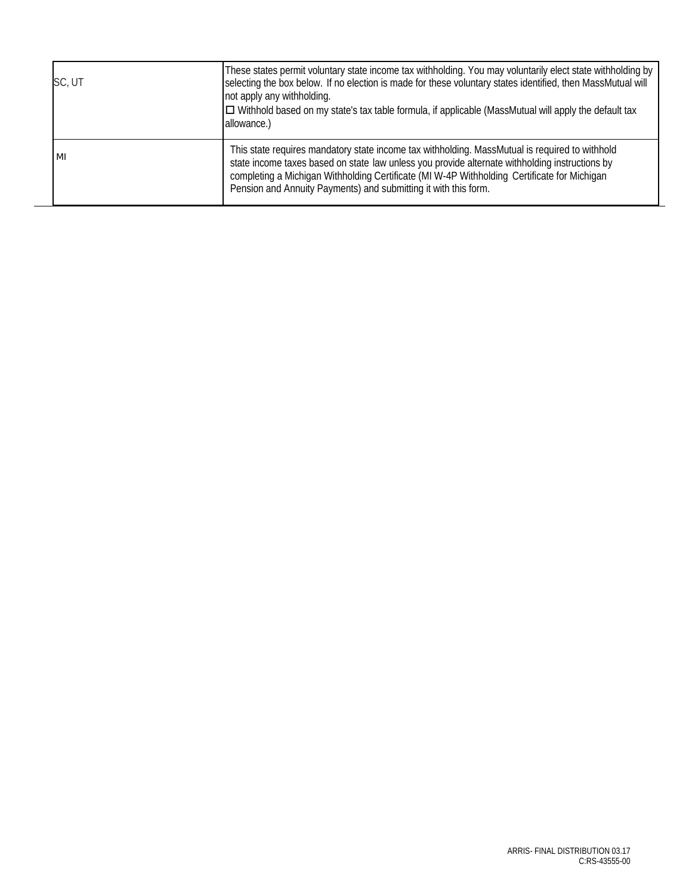| SC, UT | These states permit voluntary state income tax withholding. You may voluntarily elect state withholding by<br>selecting the box below. If no election is made for these voluntary states identified, then MassMutual will<br>not apply any withholding.<br>$\Box$ Withhold based on my state's tax table formula, if applicable (MassMutual will apply the default tax<br>allowance.) |
|--------|---------------------------------------------------------------------------------------------------------------------------------------------------------------------------------------------------------------------------------------------------------------------------------------------------------------------------------------------------------------------------------------|
| MI     | This state requires mandatory state income tax withholding. MassMutual is required to withhold<br>state income taxes based on state law unless you provide alternate withholding instructions by<br>completing a Michigan Withholding Certificate (MI W-4P Withholding Certificate for Michigan<br>Pension and Annuity Payments) and submitting it with this form.                    |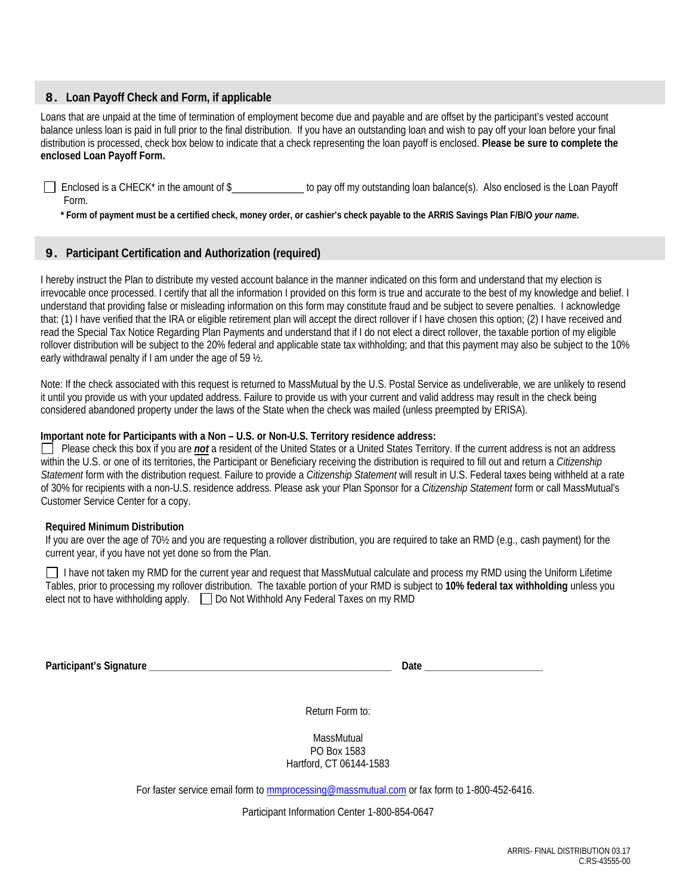## 8. **Loan Payoff Check and Form, if applicable**

Loans that are unpaid at the time of termination of employment become due and payable and are offset by the participant's vested account balance unless loan is paid in full prior to the final distribution. If you have an outstanding loan and wish to pay off your loan before your final distribution is processed, check box below to indicate that a check representing the loan payoff is enclosed. **Please be sure to complete the enclosed Loan Payoff Form.** 

 Enclosed is a CHECK\* in the amount of \$\_\_\_\_\_\_\_\_\_\_\_\_\_\_ to pay off my outstanding loan balance(s). Also enclosed is the Loan Payoff Form.

 **\* Form of payment must be a certified check, money order, or cashier's check payable to the ARRIS Savings Plan F/B/O** *your name***.**

## 9. **Participant Certification and Authorization (required)**

I hereby instruct the Plan to distribute my vested account balance in the manner indicated on this form and understand that my election is irrevocable once processed. I certify that all the information I provided on this form is true and accurate to the best of my knowledge and belief. I understand that providing false or misleading information on this form may constitute fraud and be subject to severe penalties. I acknowledge that: (1) I have verified that the IRA or eligible retirement plan will accept the direct rollover if I have chosen this option; (2) I have received and read the Special Tax Notice Regarding Plan Payments and understand that if I do not elect a direct rollover, the taxable portion of my eligible rollover distribution will be subject to the 20% federal and applicable state tax withholding; and that this payment may also be subject to the 10% early withdrawal penalty if I am under the age of 59 ½.

Note: If the check associated with this request is returned to MassMutual by the U.S. Postal Service as undeliverable, we are unlikely to resend it until you provide us with your updated address. Failure to provide us with your current and valid address may result in the check being considered abandoned property under the laws of the State when the check was mailed (unless preempted by ERISA).

## **Important note for Participants with a Non – U.S. or Non-U.S. Territory residence address:**

Please check this box if you are *not* a resident of the United States or a United States Territory. If the current address is not an address within the U.S. or one of its territories, the Participant or Beneficiary receiving the distribution is required to fill out and return a *Citizenship Statement* form with the distribution request. Failure to provide a *Citizenship Statement* will result in U.S. Federal taxes being withheld at a rate of 30% for recipients with a non-U.S. residence address. Please ask your Plan Sponsor for a *Citizenship Statement* form or call MassMutual's Customer Service Center for a copy.

## **Required Minimum Distribution**

If you are over the age of 70½ and you are requesting a rollover distribution, you are required to take an RMD (e.g., cash payment) for the current year, if you have not yet done so from the Plan.

I have not taken my RMD for the current year and request that MassMutual calculate and process my RMD using the Uniform Lifetime Tables, prior to processing my rollover distribution. The taxable portion of your RMD is subject to **10% federal tax withholding** unless you elect not to have withholding apply.  $\Box$  Do Not Withhold Any Federal Taxes on my RMD

**Participant's Signature \_\_\_\_\_\_\_\_\_\_\_\_\_\_\_\_\_\_\_\_\_\_\_\_\_\_\_\_\_\_\_\_\_\_\_\_\_\_\_\_\_\_\_\_\_\_\_ Date \_\_\_\_\_\_\_\_\_\_\_\_\_\_\_\_\_\_\_\_\_\_\_** 

Return Form to:

**MassMutual** PO Box 1583 Hartford, CT 06144-1583

For faster service email form to mmprocessing@massmutual.com or fax form to 1-800-452-6416.

Participant Information Center 1-800-854-0647